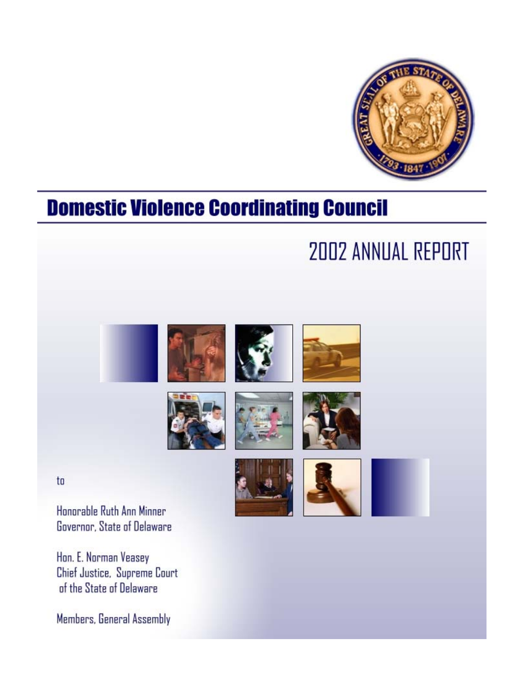

## **Domestic Violence Coordinating Council**

# 2002 ANNUAL REPORT











Honorable Ruth Ann Minner Governor, State of Delaware

Hon. E. Norman Veasey Chief Justice, Supreme Court of the State of Delaware

Members, General Assembly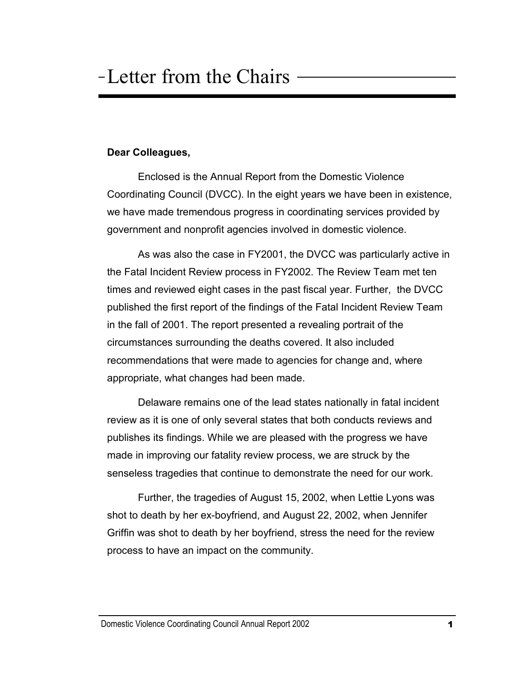#### **Dear Colleagues,**

 Enclosed is the Annual Report from the Domestic Violence Coordinating Council (DVCC). In the eight years we have been in existence, we have made tremendous progress in coordinating services provided by government and nonprofit agencies involved in domestic violence.

 As was also the case in FY2001, the DVCC was particularly active in the Fatal Incident Review process in FY2002. The Review Team met ten times and reviewed eight cases in the past fiscal year. Further, the DVCC published the first report of the findings of the Fatal Incident Review Team in the fall of 2001. The report presented a revealing portrait of the circumstances surrounding the deaths covered. It also included recommendations that were made to agencies for change and, where appropriate, what changes had been made.

 Delaware remains one of the lead states nationally in fatal incident review as it is one of only several states that both conducts reviews and publishes its findings. While we are pleased with the progress we have made in improving our fatality review process, we are struck by the senseless tragedies that continue to demonstrate the need for our work.

 Further, the tragedies of August 15, 2002, when Lettie Lyons was shot to death by her ex-boyfriend, and August 22, 2002, when Jennifer Griffin was shot to death by her boyfriend, stress the need for the review process to have an impact on the community.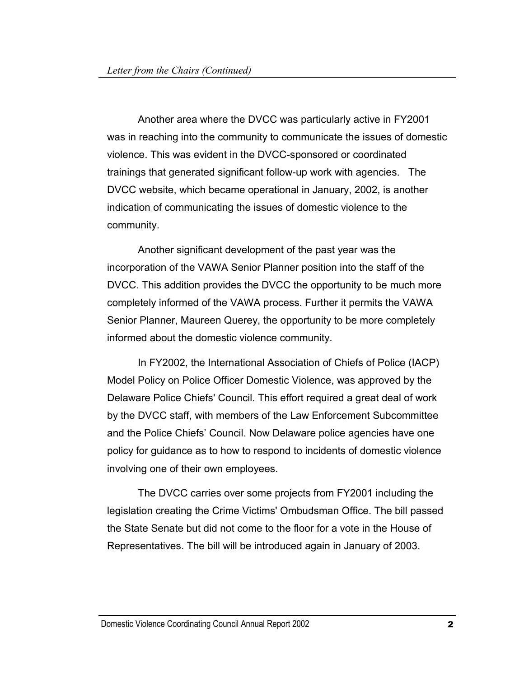Another area where the DVCC was particularly active in FY2001 was in reaching into the community to communicate the issues of domestic violence. This was evident in the DVCC-sponsored or coordinated trainings that generated significant follow-up work with agencies. The DVCC website, which became operational in January, 2002, is another indication of communicating the issues of domestic violence to the community.

 Another significant development of the past year was the incorporation of the VAWA Senior Planner position into the staff of the DVCC. This addition provides the DVCC the opportunity to be much more completely informed of the VAWA process. Further it permits the VAWA Senior Planner, Maureen Querey, the opportunity to be more completely informed about the domestic violence community.

 In FY2002, the International Association of Chiefs of Police (IACP) Model Policy on Police Officer Domestic Violence, was approved by the Delaware Police Chiefs' Council. This effort required a great deal of work by the DVCC staff, with members of the Law Enforcement Subcommittee and the Police Chiefs' Council. Now Delaware police agencies have one policy for guidance as to how to respond to incidents of domestic violence involving one of their own employees.

 The DVCC carries over some projects from FY2001 including the legislation creating the Crime Victims' Ombudsman Office. The bill passed the State Senate but did not come to the floor for a vote in the House of Representatives. The bill will be introduced again in January of 2003.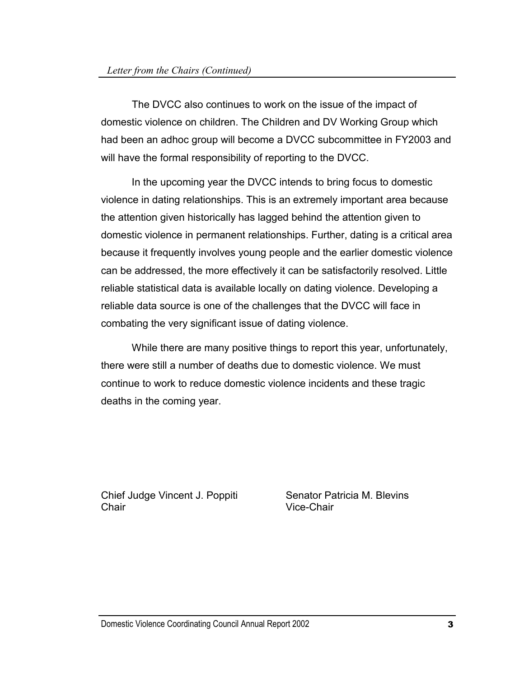The DVCC also continues to work on the issue of the impact of domestic violence on children. The Children and DV Working Group which had been an adhoc group will become a DVCC subcommittee in FY2003 and will have the formal responsibility of reporting to the DVCC.

 In the upcoming year the DVCC intends to bring focus to domestic violence in dating relationships. This is an extremely important area because the attention given historically has lagged behind the attention given to domestic violence in permanent relationships. Further, dating is a critical area because it frequently involves young people and the earlier domestic violence can be addressed, the more effectively it can be satisfactorily resolved. Little reliable statistical data is available locally on dating violence. Developing a reliable data source is one of the challenges that the DVCC will face in combating the very significant issue of dating violence.

 While there are many positive things to report this year, unfortunately, there were still a number of deaths due to domestic violence. We must continue to work to reduce domestic violence incidents and these tragic deaths in the coming year.

Chief Judge Vincent J. Poppiti Senator Patricia M. Blevins Chair Vice-Chair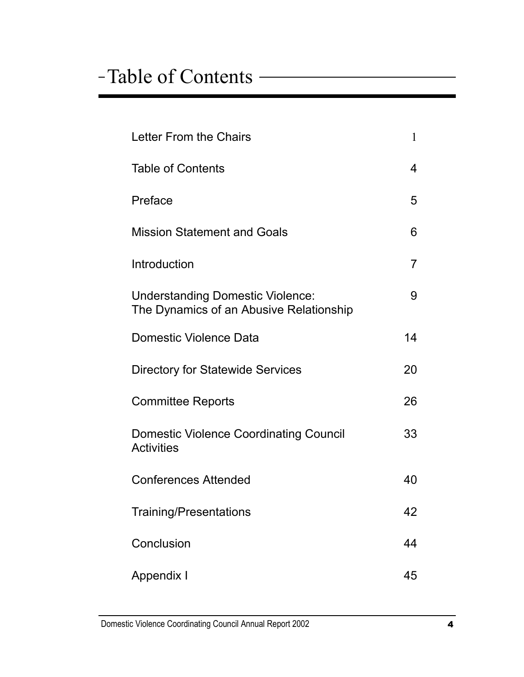| Letter From the Chairs                                                      | 1              |
|-----------------------------------------------------------------------------|----------------|
| <b>Table of Contents</b>                                                    | 4              |
| Preface                                                                     | 5              |
| <b>Mission Statement and Goals</b>                                          | 6              |
| Introduction                                                                | $\overline{7}$ |
| Understanding Domestic Violence:<br>The Dynamics of an Abusive Relationship | 9              |
| Domestic Violence Data                                                      | 14             |
| <b>Directory for Statewide Services</b>                                     | 20             |
| <b>Committee Reports</b>                                                    | 26             |
| <b>Domestic Violence Coordinating Council</b><br><b>Activities</b>          | 33             |
| <b>Conferences Attended</b>                                                 | 40             |
| <b>Training/Presentations</b>                                               | 42             |
| Conclusion                                                                  | 44             |
| Appendix I                                                                  | 45             |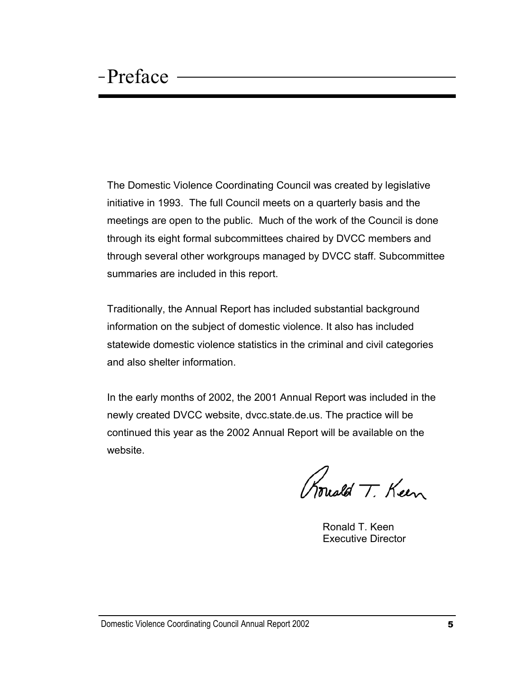The Domestic Violence Coordinating Council was created by legislative initiative in 1993. The full Council meets on a quarterly basis and the meetings are open to the public. Much of the work of the Council is done through its eight formal subcommittees chaired by DVCC members and through several other workgroups managed by DVCC staff. Subcommittee summaries are included in this report.

Traditionally, the Annual Report has included substantial background information on the subject of domestic violence. It also has included statewide domestic violence statistics in the criminal and civil categories and also shelter information.

In the early months of 2002, the 2001 Annual Report was included in the newly created DVCC website, dvcc.state.de.us. The practice will be continued this year as the 2002 Annual Report will be available on the website.

Rouald T. Keen

 Ronald T. Keen Executive Director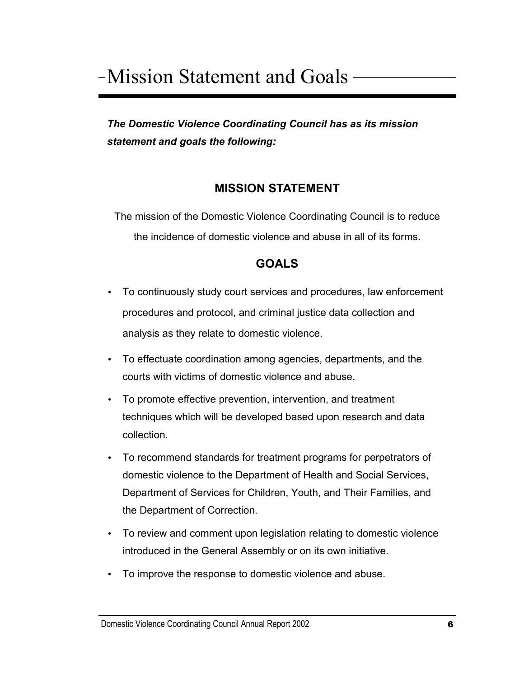*The Domestic Violence Coordinating Council has as its mission statement and goals the following:* 

## **MISSION STATEMENT**

The mission of the Domestic Violence Coordinating Council is to reduce the incidence of domestic violence and abuse in all of its forms.

## **GOALS**

- To continuously study court services and procedures, law enforcement procedures and protocol, and criminal justice data collection and analysis as they relate to domestic violence.
- To effectuate coordination among agencies, departments, and the courts with victims of domestic violence and abuse.
- To promote effective prevention, intervention, and treatment techniques which will be developed based upon research and data collection.
- To recommend standards for treatment programs for perpetrators of domestic violence to the Department of Health and Social Services, Department of Services for Children, Youth, and Their Families, and the Department of Correction.
- To review and comment upon legislation relating to domestic violence introduced in the General Assembly or on its own initiative.
- To improve the response to domestic violence and abuse.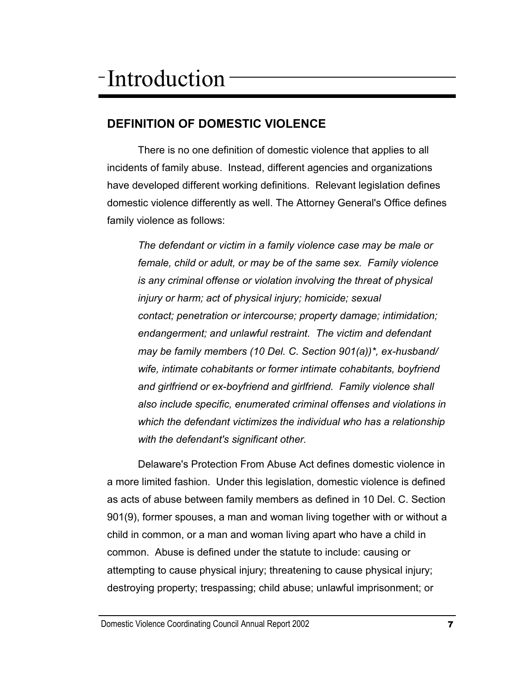## **DEFINITION OF DOMESTIC VIOLENCE**

 There is no one definition of domestic violence that applies to all incidents of family abuse. Instead, different agencies and organizations have developed different working definitions. Relevant legislation defines domestic violence differently as well. The Attorney General's Office defines family violence as follows:

*The defendant or victim in a family violence case may be male or female, child or adult, or may be of the same sex. Family violence is any criminal offense or violation involving the threat of physical injury or harm; act of physical injury; homicide; sexual contact; penetration or intercourse; property damage; intimidation; endangerment; and unlawful restraint. The victim and defendant may be family members (10 Del. C. Section 901(a))\*, ex-husband/ wife, intimate cohabitants or former intimate cohabitants, boyfriend and girlfriend or ex-boyfriend and girlfriend. Family violence shall also include specific, enumerated criminal offenses and violations in which the defendant victimizes the individual who has a relationship with the defendant's significant other.* 

 Delaware's Protection From Abuse Act defines domestic violence in a more limited fashion. Under this legislation, domestic violence is defined as acts of abuse between family members as defined in 10 Del. C. Section 901(9), former spouses, a man and woman living together with or without a child in common, or a man and woman living apart who have a child in common. Abuse is defined under the statute to include: causing or attempting to cause physical injury; threatening to cause physical injury; destroying property; trespassing; child abuse; unlawful imprisonment; or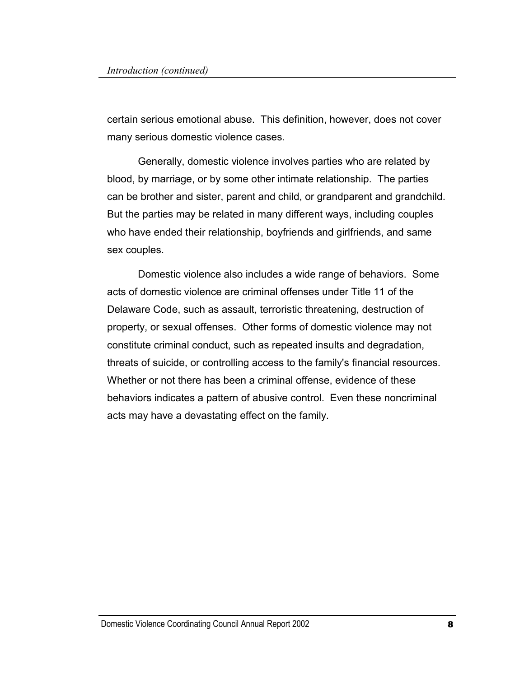certain serious emotional abuse. This definition, however, does not cover many serious domestic violence cases.

 Generally, domestic violence involves parties who are related by blood, by marriage, or by some other intimate relationship. The parties can be brother and sister, parent and child, or grandparent and grandchild. But the parties may be related in many different ways, including couples who have ended their relationship, boyfriends and girlfriends, and same sex couples.

 Domestic violence also includes a wide range of behaviors. Some acts of domestic violence are criminal offenses under Title 11 of the Delaware Code, such as assault, terroristic threatening, destruction of property, or sexual offenses. Other forms of domestic violence may not constitute criminal conduct, such as repeated insults and degradation, threats of suicide, or controlling access to the family's financial resources. Whether or not there has been a criminal offense, evidence of these behaviors indicates a pattern of abusive control. Even these noncriminal acts may have a devastating effect on the family.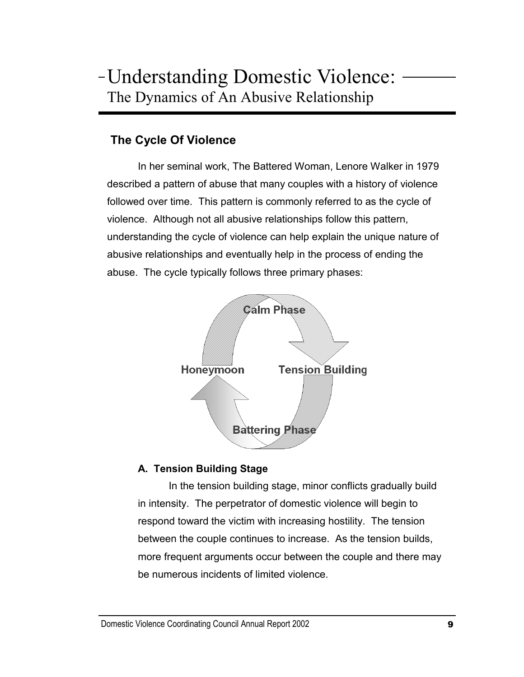## **The Cycle Of Violence**

 In her seminal work, The Battered Woman, Lenore Walker in 1979 described a pattern of abuse that many couples with a history of violence followed over time. This pattern is commonly referred to as the cycle of violence. Although not all abusive relationships follow this pattern, understanding the cycle of violence can help explain the unique nature of abusive relationships and eventually help in the process of ending the abuse. The cycle typically follows three primary phases:



#### **A. Tension Building Stage**

 In the tension building stage, minor conflicts gradually build in intensity. The perpetrator of domestic violence will begin to respond toward the victim with increasing hostility. The tension between the couple continues to increase. As the tension builds, more frequent arguments occur between the couple and there may be numerous incidents of limited violence.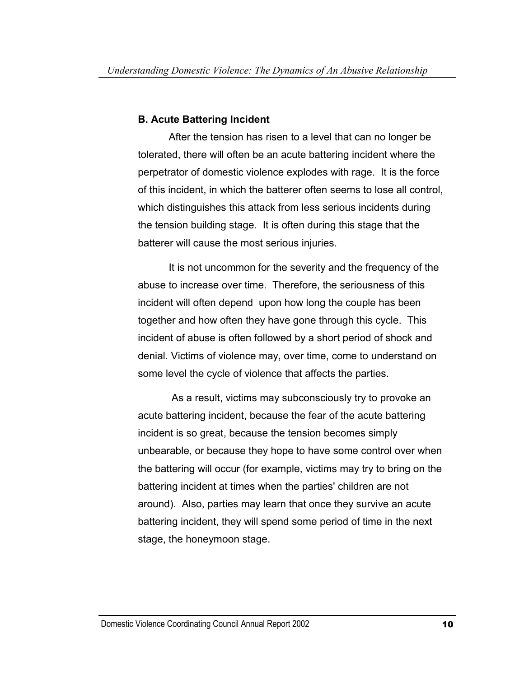#### **B. Acute Battering Incident**

 After the tension has risen to a level that can no longer be tolerated, there will often be an acute battering incident where the perpetrator of domestic violence explodes with rage. It is the force of this incident, in which the batterer often seems to lose all control, which distinguishes this attack from less serious incidents during the tension building stage. It is often during this stage that the batterer will cause the most serious injuries.

 It is not uncommon for the severity and the frequency of the abuse to increase over time. Therefore, the seriousness of this incident will often depend upon how long the couple has been together and how often they have gone through this cycle. This incident of abuse is often followed by a short period of shock and denial. Victims of violence may, over time, come to understand on some level the cycle of violence that affects the parties.

 As a result, victims may subconsciously try to provoke an acute battering incident, because the fear of the acute battering incident is so great, because the tension becomes simply unbearable, or because they hope to have some control over when the battering will occur (for example, victims may try to bring on the battering incident at times when the parties' children are not around). Also, parties may learn that once they survive an acute battering incident, they will spend some period of time in the next stage, the honeymoon stage.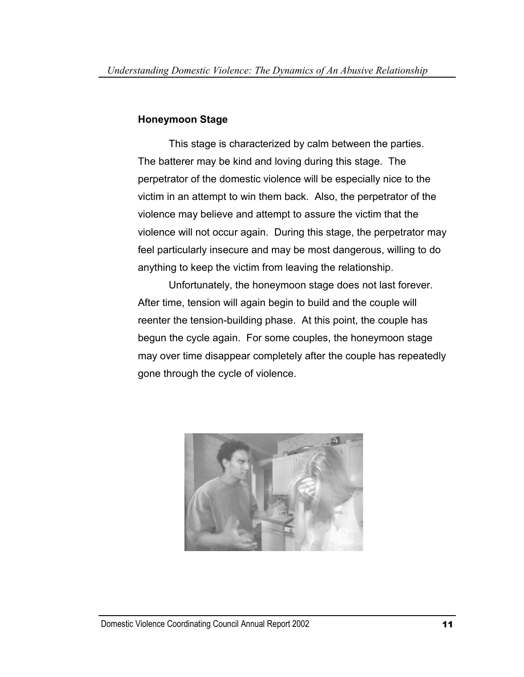#### **Honeymoon Stage**

 This stage is characterized by calm between the parties. The batterer may be kind and loving during this stage. The perpetrator of the domestic violence will be especially nice to the victim in an attempt to win them back. Also, the perpetrator of the violence may believe and attempt to assure the victim that the violence will not occur again. During this stage, the perpetrator may feel particularly insecure and may be most dangerous, willing to do anything to keep the victim from leaving the relationship.

 Unfortunately, the honeymoon stage does not last forever. After time, tension will again begin to build and the couple will reenter the tension-building phase. At this point, the couple has begun the cycle again. For some couples, the honeymoon stage may over time disappear completely after the couple has repeatedly gone through the cycle of violence.

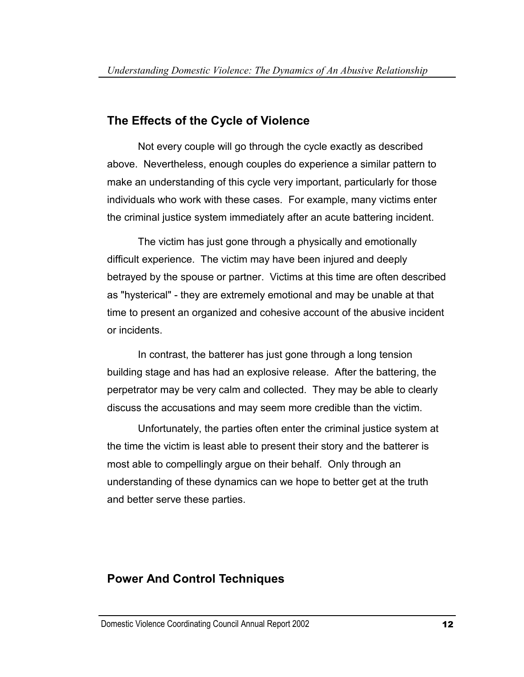### **The Effects of the Cycle of Violence**

 Not every couple will go through the cycle exactly as described above. Nevertheless, enough couples do experience a similar pattern to make an understanding of this cycle very important, particularly for those individuals who work with these cases. For example, many victims enter the criminal justice system immediately after an acute battering incident.

 The victim has just gone through a physically and emotionally difficult experience. The victim may have been injured and deeply betrayed by the spouse or partner. Victims at this time are often described as "hysterical" - they are extremely emotional and may be unable at that time to present an organized and cohesive account of the abusive incident or incidents.

 In contrast, the batterer has just gone through a long tension building stage and has had an explosive release. After the battering, the perpetrator may be very calm and collected. They may be able to clearly discuss the accusations and may seem more credible than the victim.

 Unfortunately, the parties often enter the criminal justice system at the time the victim is least able to present their story and the batterer is most able to compellingly argue on their behalf. Only through an understanding of these dynamics can we hope to better get at the truth and better serve these parties.

## **Power And Control Techniques**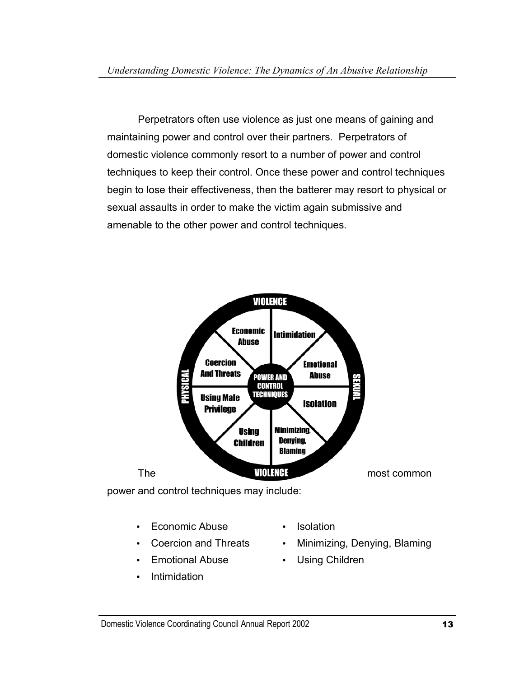Perpetrators often use violence as just one means of gaining and maintaining power and control over their partners. Perpetrators of domestic violence commonly resort to a number of power and control techniques to keep their control. Once these power and control techniques begin to lose their effectiveness, then the batterer may resort to physical or sexual assaults in order to make the victim again submissive and amenable to the other power and control techniques.



power and control techniques may include:

- Economic Abuse Isolation
- 
- 
- Intimidation
- 
- Coercion and Threats Minimizing, Denying, Blaming
- Emotional Abuse Using Children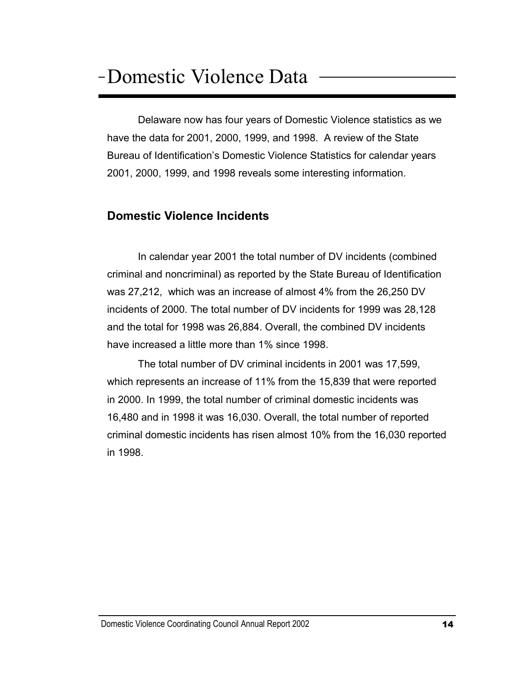Delaware now has four years of Domestic Violence statistics as we have the data for 2001, 2000, 1999, and 1998. A review of the State Bureau of Identification's Domestic Violence Statistics for calendar years 2001, 2000, 1999, and 1998 reveals some interesting information.

#### **Domestic Violence Incidents**

 In calendar year 2001 the total number of DV incidents (combined criminal and noncriminal) as reported by the State Bureau of Identification was 27,212, which was an increase of almost 4% from the 26,250 DV incidents of 2000. The total number of DV incidents for 1999 was 28,128 and the total for 1998 was 26,884. Overall, the combined DV incidents have increased a little more than 1% since 1998.

 The total number of DV criminal incidents in 2001 was 17,599, which represents an increase of 11% from the 15,839 that were reported in 2000. In 1999, the total number of criminal domestic incidents was 16,480 and in 1998 it was 16,030. Overall, the total number of reported criminal domestic incidents has risen almost 10% from the 16,030 reported in 1998.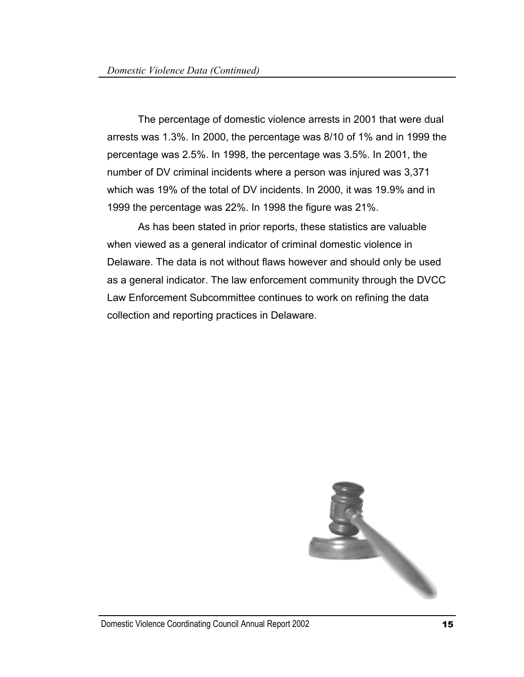The percentage of domestic violence arrests in 2001 that were dual arrests was 1.3%. In 2000, the percentage was 8/10 of 1% and in 1999 the percentage was 2.5%. In 1998, the percentage was 3.5%. In 2001, the number of DV criminal incidents where a person was injured was 3,371 which was 19% of the total of DV incidents. In 2000, it was 19.9% and in 1999 the percentage was 22%. In 1998 the figure was 21%.

 As has been stated in prior reports, these statistics are valuable when viewed as a general indicator of criminal domestic violence in Delaware. The data is not without flaws however and should only be used as a general indicator. The law enforcement community through the DVCC Law Enforcement Subcommittee continues to work on refining the data collection and reporting practices in Delaware.

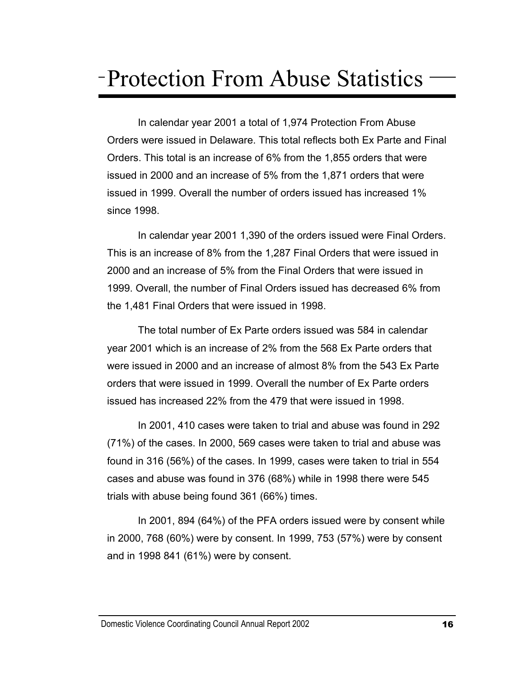# Protection From Abuse Statistics

 In calendar year 2001 a total of 1,974 Protection From Abuse Orders were issued in Delaware. This total reflects both Ex Parte and Final Orders. This total is an increase of 6% from the 1,855 orders that were issued in 2000 and an increase of 5% from the 1,871 orders that were issued in 1999. Overall the number of orders issued has increased 1% since 1998.

 In calendar year 2001 1,390 of the orders issued were Final Orders. This is an increase of 8% from the 1,287 Final Orders that were issued in 2000 and an increase of 5% from the Final Orders that were issued in 1999. Overall, the number of Final Orders issued has decreased 6% from the 1,481 Final Orders that were issued in 1998.

 The total number of Ex Parte orders issued was 584 in calendar year 2001 which is an increase of 2% from the 568 Ex Parte orders that were issued in 2000 and an increase of almost 8% from the 543 Ex Parte orders that were issued in 1999. Overall the number of Ex Parte orders issued has increased 22% from the 479 that were issued in 1998.

 In 2001, 410 cases were taken to trial and abuse was found in 292 (71%) of the cases. In 2000, 569 cases were taken to trial and abuse was found in 316 (56%) of the cases. In 1999, cases were taken to trial in 554 cases and abuse was found in 376 (68%) while in 1998 there were 545 trials with abuse being found 361 (66%) times.

 In 2001, 894 (64%) of the PFA orders issued were by consent while in 2000, 768 (60%) were by consent. In 1999, 753 (57%) were by consent and in 1998 841 (61%) were by consent.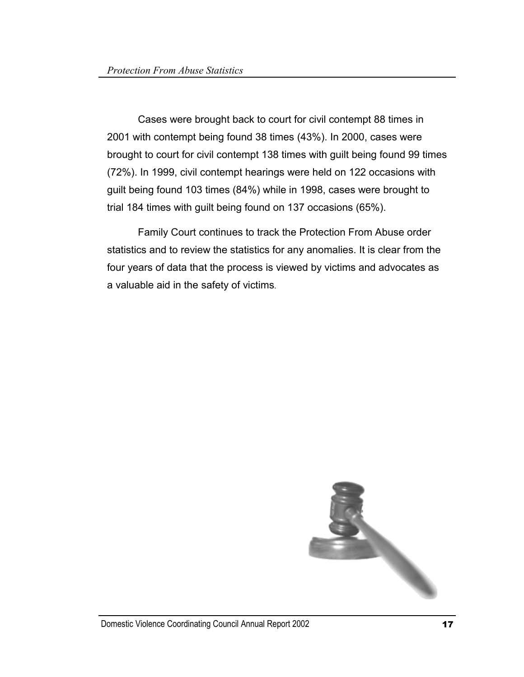Cases were brought back to court for civil contempt 88 times in 2001 with contempt being found 38 times (43%). In 2000, cases were brought to court for civil contempt 138 times with guilt being found 99 times (72%). In 1999, civil contempt hearings were held on 122 occasions with guilt being found 103 times (84%) while in 1998, cases were brought to trial 184 times with guilt being found on 137 occasions (65%).

 Family Court continues to track the Protection From Abuse order statistics and to review the statistics for any anomalies. It is clear from the four years of data that the process is viewed by victims and advocates as a valuable aid in the safety of victims.

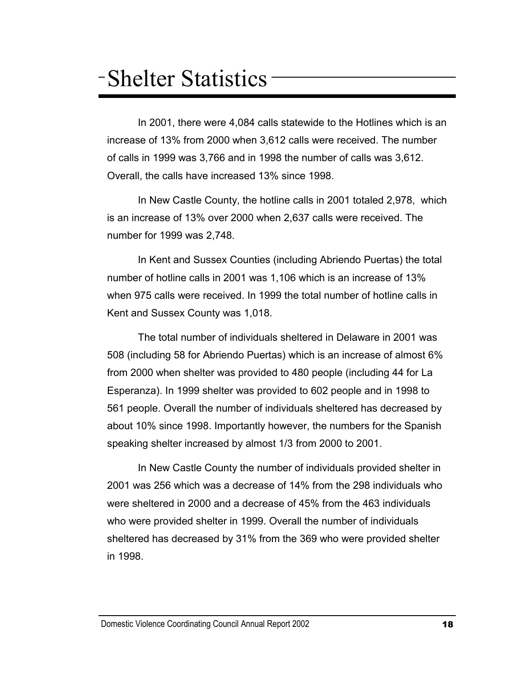# Shelter Statistics

 In 2001, there were 4,084 calls statewide to the Hotlines which is an increase of 13% from 2000 when 3,612 calls were received. The number of calls in 1999 was 3,766 and in 1998 the number of calls was 3,612. Overall, the calls have increased 13% since 1998.

 In New Castle County, the hotline calls in 2001 totaled 2,978, which is an increase of 13% over 2000 when 2,637 calls were received. The number for 1999 was 2,748.

 In Kent and Sussex Counties (including Abriendo Puertas) the total number of hotline calls in 2001 was 1,106 which is an increase of 13% when 975 calls were received. In 1999 the total number of hotline calls in Kent and Sussex County was 1,018.

 The total number of individuals sheltered in Delaware in 2001 was 508 (including 58 for Abriendo Puertas) which is an increase of almost 6% from 2000 when shelter was provided to 480 people (including 44 for La Esperanza). In 1999 shelter was provided to 602 people and in 1998 to 561 people. Overall the number of individuals sheltered has decreased by about 10% since 1998. Importantly however, the numbers for the Spanish speaking shelter increased by almost 1/3 from 2000 to 2001.

 In New Castle County the number of individuals provided shelter in 2001 was 256 which was a decrease of 14% from the 298 individuals who were sheltered in 2000 and a decrease of 45% from the 463 individuals who were provided shelter in 1999. Overall the number of individuals sheltered has decreased by 31% from the 369 who were provided shelter in 1998.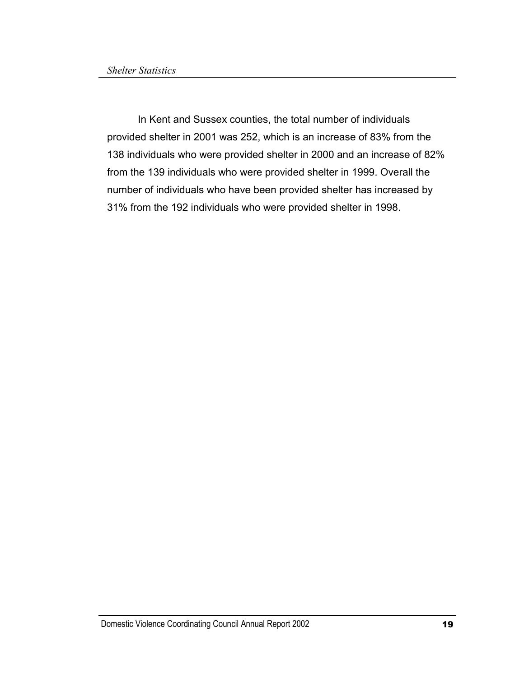In Kent and Sussex counties, the total number of individuals provided shelter in 2001 was 252, which is an increase of 83% from the 138 individuals who were provided shelter in 2000 and an increase of 82% from the 139 individuals who were provided shelter in 1999. Overall the number of individuals who have been provided shelter has increased by 31% from the 192 individuals who were provided shelter in 1998.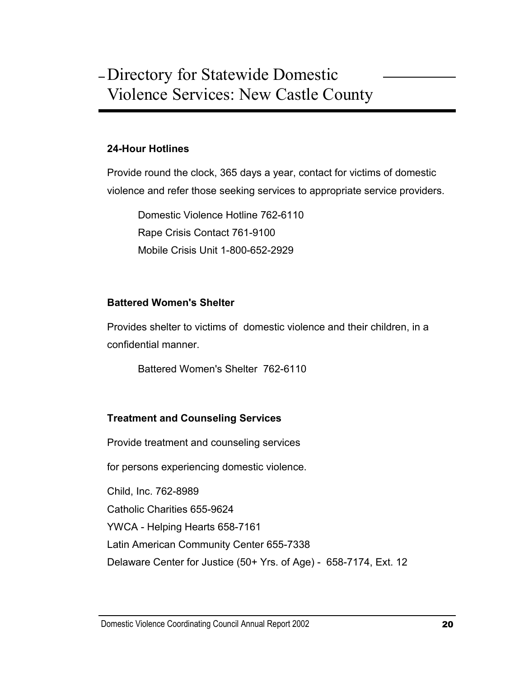#### **24-Hour Hotlines**

Provide round the clock, 365 days a year, contact for victims of domestic violence and refer those seeking services to appropriate service providers.

Domestic Violence Hotline 762-6110 Rape Crisis Contact 761-9100 Mobile Crisis Unit 1-800-652-2929

#### **Battered Women's Shelter**

Provides shelter to victims of domestic violence and their children, in a confidential manner.

Battered Women's Shelter 762-6110

#### **Treatment and Counseling Services**

Provide treatment and counseling services

for persons experiencing domestic violence.

Child, Inc. 762-8989 Catholic Charities 655-9624 YWCA - Helping Hearts 658-7161 Latin American Community Center 655-7338 Delaware Center for Justice (50+ Yrs. of Age) - 658-7174, Ext. 12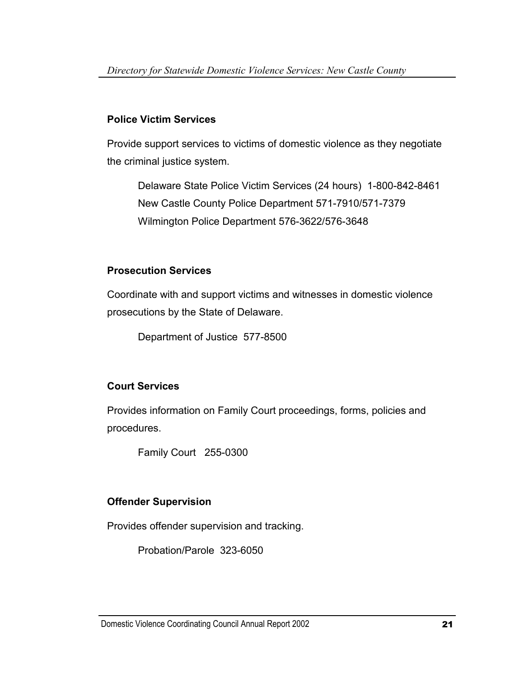#### **Police Victim Services**

Provide support services to victims of domestic violence as they negotiate the criminal justice system.

Delaware State Police Victim Services (24 hours) 1-800-842-8461 New Castle County Police Department 571-7910/571-7379 Wilmington Police Department 576-3622/576-3648

#### **Prosecution Services**

Coordinate with and support victims and witnesses in domestic violence prosecutions by the State of Delaware.

Department of Justice 577-8500

#### **Court Services**

Provides information on Family Court proceedings, forms, policies and procedures.

Family Court 255-0300

#### **Offender Supervision**

Provides offender supervision and tracking.

Probation/Parole 323-6050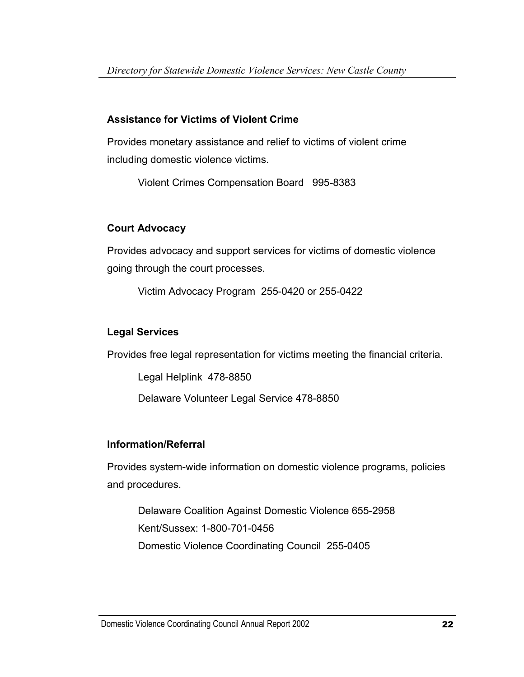#### **Assistance for Victims of Violent Crime**

Provides monetary assistance and relief to victims of violent crime including domestic violence victims.

Violent Crimes Compensation Board 995-8383

#### **Court Advocacy**

Provides advocacy and support services for victims of domestic violence going through the court processes.

Victim Advocacy Program 255-0420 or 255-0422

#### **Legal Services**

Provides free legal representation for victims meeting the financial criteria.

Legal Helplink 478-8850

Delaware Volunteer Legal Service 478-8850

#### **Information/Referral**

Provides system-wide information on domestic violence programs, policies and procedures.

Delaware Coalition Against Domestic Violence 655-2958 Kent/Sussex: 1-800-701-0456 Domestic Violence Coordinating Council 255-0405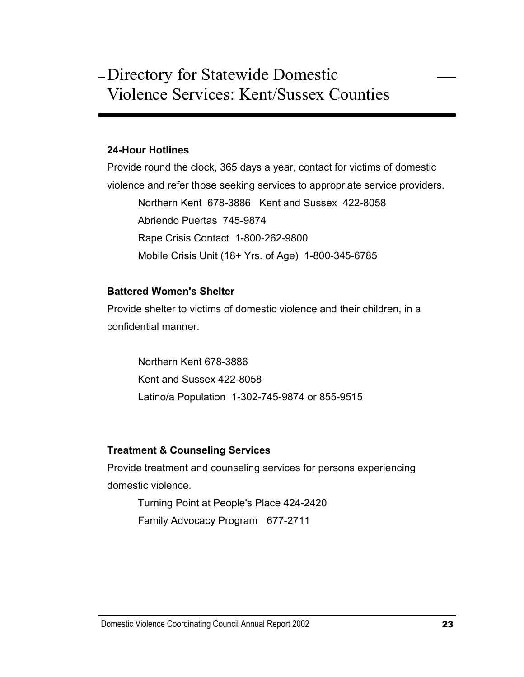#### **24-Hour Hotlines**

Provide round the clock, 365 days a year, contact for victims of domestic violence and refer those seeking services to appropriate service providers. Northern Kent 678-3886 Kent and Sussex 422-8058 Abriendo Puertas 745-9874 Rape Crisis Contact 1-800-262-9800 Mobile Crisis Unit (18+ Yrs. of Age) 1-800-345-6785

#### **Battered Women's Shelter**

Provide shelter to victims of domestic violence and their children, in a confidential manner.

Northern Kent 678-3886 Kent and Sussex 422-8058 Latino/a Population 1-302-745-9874 or 855-9515

#### **Treatment & Counseling Services**

Provide treatment and counseling services for persons experiencing domestic violence.

Turning Point at People's Place 424-2420 Family Advocacy Program 677-2711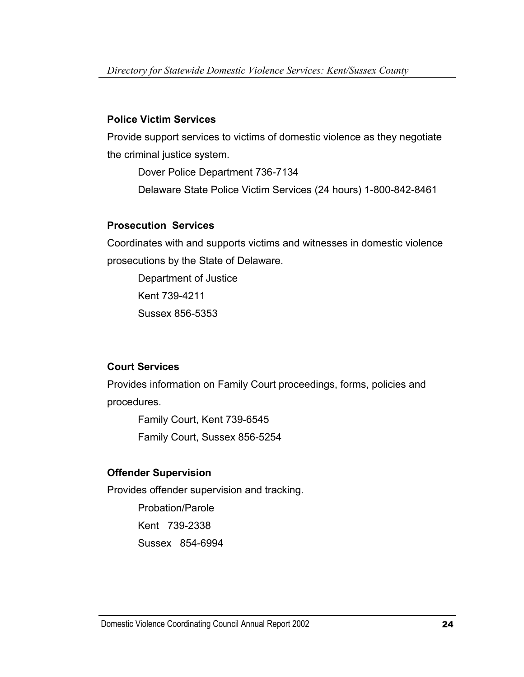#### **Police Victim Services**

Provide support services to victims of domestic violence as they negotiate the criminal justice system.

Dover Police Department 736-7134

Delaware State Police Victim Services (24 hours) 1-800-842-8461

#### **Prosecution Services**

Coordinates with and supports victims and witnesses in domestic violence prosecutions by the State of Delaware.

Department of Justice Kent 739-4211 Sussex 856-5353

#### **Court Services**

Provides information on Family Court proceedings, forms, policies and procedures.

Family Court, Kent 739-6545 Family Court, Sussex 856-5254

#### **Offender Supervision**

Provides offender supervision and tracking.

Probation/Parole Kent 739-2338 Sussex 854-6994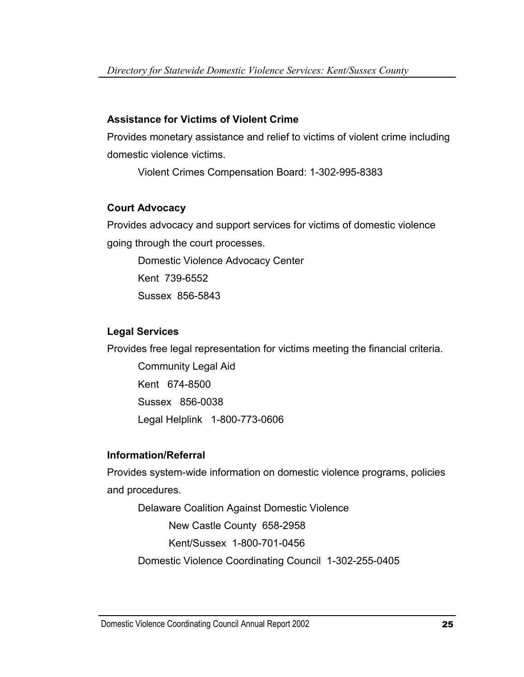#### **Assistance for Victims of Violent Crime**

Provides monetary assistance and relief to victims of violent crime including domestic violence victims.

Violent Crimes Compensation Board: 1-302-995-8383

#### **Court Advocacy**

Provides advocacy and support services for victims of domestic violence going through the court processes.

Domestic Violence Advocacy Center Kent 739-6552 Sussex 856-5843

#### **Legal Services**

Provides free legal representation for victims meeting the financial criteria.

Community Legal Aid Kent 674-8500 Sussex 856-0038 Legal Helplink 1-800-773-0606

#### **Information/Referral**

Provides system-wide information on domestic violence programs, policies and procedures.

Delaware Coalition Against Domestic Violence New Castle County 658-2958 Kent/Sussex 1-800-701-0456 Domestic Violence Coordinating Council 1-302-255-0405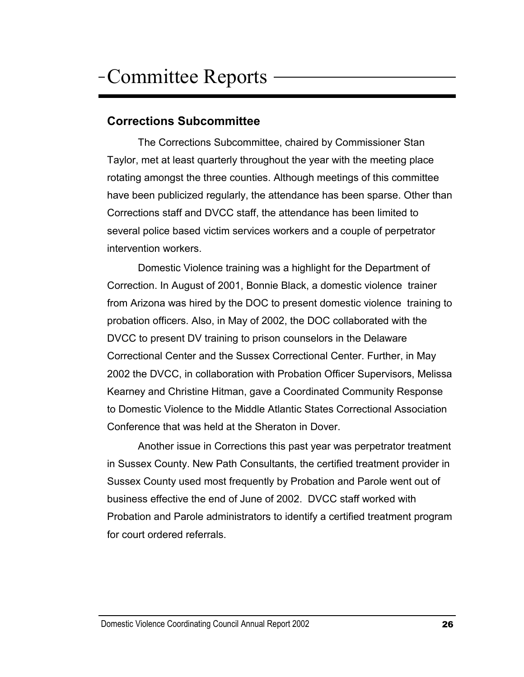### **Corrections Subcommittee**

 The Corrections Subcommittee, chaired by Commissioner Stan Taylor, met at least quarterly throughout the year with the meeting place rotating amongst the three counties. Although meetings of this committee have been publicized regularly, the attendance has been sparse. Other than Corrections staff and DVCC staff, the attendance has been limited to several police based victim services workers and a couple of perpetrator intervention workers.

 Domestic Violence training was a highlight for the Department of Correction. In August of 2001, Bonnie Black, a domestic violence trainer from Arizona was hired by the DOC to present domestic violence training to probation officers. Also, in May of 2002, the DOC collaborated with the DVCC to present DV training to prison counselors in the Delaware Correctional Center and the Sussex Correctional Center. Further, in May 2002 the DVCC, in collaboration with Probation Officer Supervisors, Melissa Kearney and Christine Hitman, gave a Coordinated Community Response to Domestic Violence to the Middle Atlantic States Correctional Association Conference that was held at the Sheraton in Dover.

 Another issue in Corrections this past year was perpetrator treatment in Sussex County. New Path Consultants, the certified treatment provider in Sussex County used most frequently by Probation and Parole went out of business effective the end of June of 2002. DVCC staff worked with Probation and Parole administrators to identify a certified treatment program for court ordered referrals.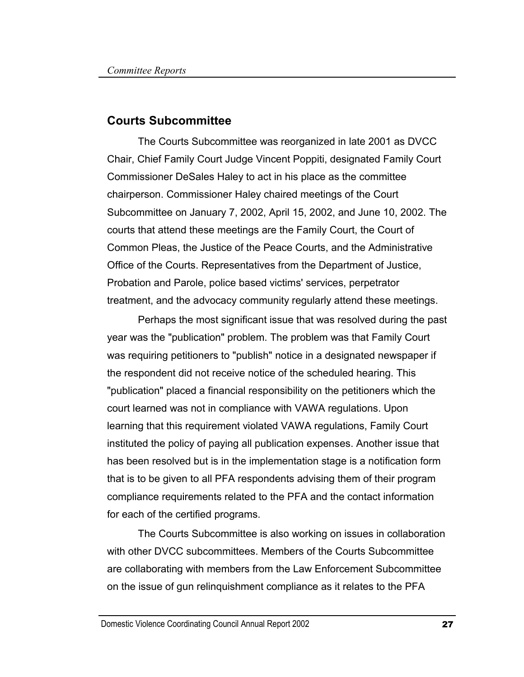#### **Courts Subcommittee**

 The Courts Subcommittee was reorganized in late 2001 as DVCC Chair, Chief Family Court Judge Vincent Poppiti, designated Family Court Commissioner DeSales Haley to act in his place as the committee chairperson. Commissioner Haley chaired meetings of the Court Subcommittee on January 7, 2002, April 15, 2002, and June 10, 2002. The courts that attend these meetings are the Family Court, the Court of Common Pleas, the Justice of the Peace Courts, and the Administrative Office of the Courts. Representatives from the Department of Justice, Probation and Parole, police based victims' services, perpetrator treatment, and the advocacy community regularly attend these meetings.

 Perhaps the most significant issue that was resolved during the past year was the "publication" problem. The problem was that Family Court was requiring petitioners to "publish" notice in a designated newspaper if the respondent did not receive notice of the scheduled hearing. This "publication" placed a financial responsibility on the petitioners which the court learned was not in compliance with VAWA regulations. Upon learning that this requirement violated VAWA regulations, Family Court instituted the policy of paying all publication expenses. Another issue that has been resolved but is in the implementation stage is a notification form that is to be given to all PFA respondents advising them of their program compliance requirements related to the PFA and the contact information for each of the certified programs.

 The Courts Subcommittee is also working on issues in collaboration with other DVCC subcommittees. Members of the Courts Subcommittee are collaborating with members from the Law Enforcement Subcommittee on the issue of gun relinquishment compliance as it relates to the PFA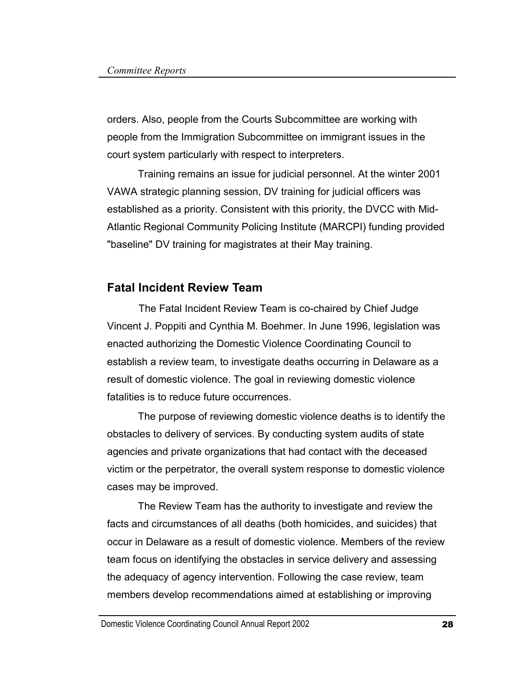orders. Also, people from the Courts Subcommittee are working with people from the Immigration Subcommittee on immigrant issues in the court system particularly with respect to interpreters.

 Training remains an issue for judicial personnel. At the winter 2001 VAWA strategic planning session, DV training for judicial officers was established as a priority. Consistent with this priority, the DVCC with Mid-Atlantic Regional Community Policing Institute (MARCPI) funding provided "baseline" DV training for magistrates at their May training.

#### **Fatal Incident Review Team**

 The Fatal Incident Review Team is co-chaired by Chief Judge Vincent J. Poppiti and Cynthia M. Boehmer. In June 1996, legislation was enacted authorizing the Domestic Violence Coordinating Council to establish a review team, to investigate deaths occurring in Delaware as a result of domestic violence. The goal in reviewing domestic violence fatalities is to reduce future occurrences.

 The purpose of reviewing domestic violence deaths is to identify the obstacles to delivery of services. By conducting system audits of state agencies and private organizations that had contact with the deceased victim or the perpetrator, the overall system response to domestic violence cases may be improved.

 The Review Team has the authority to investigate and review the facts and circumstances of all deaths (both homicides, and suicides) that occur in Delaware as a result of domestic violence. Members of the review team focus on identifying the obstacles in service delivery and assessing the adequacy of agency intervention. Following the case review, team members develop recommendations aimed at establishing or improving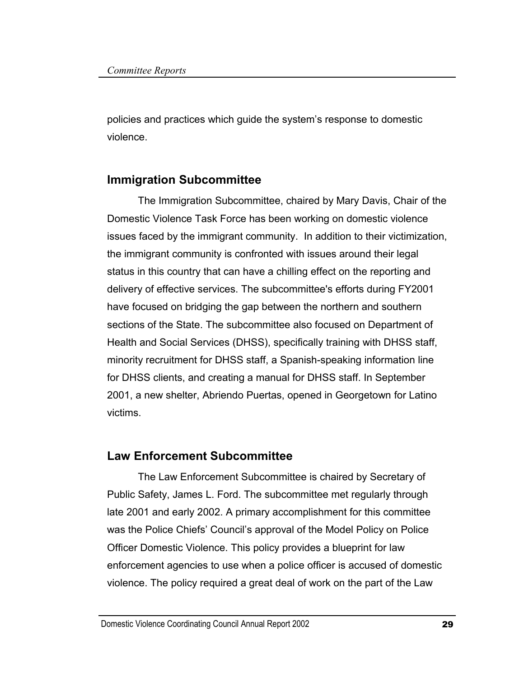policies and practices which guide the system's response to domestic violence.

#### **Immigration Subcommittee**

 The Immigration Subcommittee, chaired by Mary Davis, Chair of the Domestic Violence Task Force has been working on domestic violence issues faced by the immigrant community. In addition to their victimization, the immigrant community is confronted with issues around their legal status in this country that can have a chilling effect on the reporting and delivery of effective services. The subcommittee's efforts during FY2001 have focused on bridging the gap between the northern and southern sections of the State. The subcommittee also focused on Department of Health and Social Services (DHSS), specifically training with DHSS staff, minority recruitment for DHSS staff, a Spanish-speaking information line for DHSS clients, and creating a manual for DHSS staff. In September 2001, a new shelter, Abriendo Puertas, opened in Georgetown for Latino victims.

#### **Law Enforcement Subcommittee**

 The Law Enforcement Subcommittee is chaired by Secretary of Public Safety, James L. Ford. The subcommittee met regularly through late 2001 and early 2002. A primary accomplishment for this committee was the Police Chiefs' Council's approval of the Model Policy on Police Officer Domestic Violence. This policy provides a blueprint for law enforcement agencies to use when a police officer is accused of domestic violence. The policy required a great deal of work on the part of the Law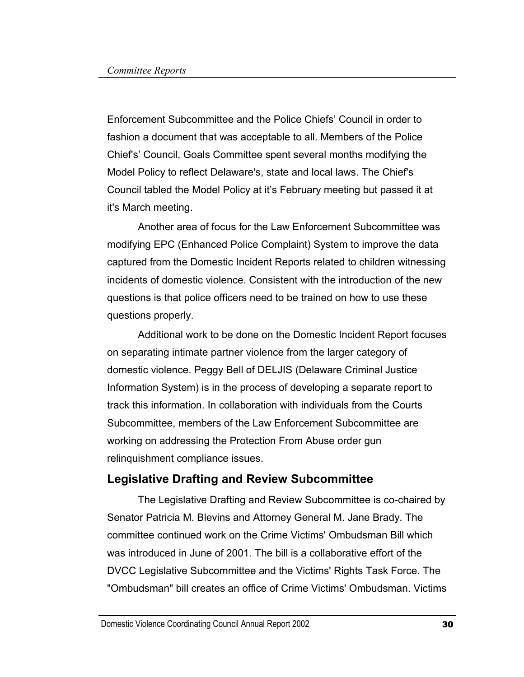Enforcement Subcommittee and the Police Chiefs' Council in order to fashion a document that was acceptable to all. Members of the Police Chief's' Council, Goals Committee spent several months modifying the Model Policy to reflect Delaware's, state and local laws. The Chief's Council tabled the Model Policy at it's February meeting but passed it at it's March meeting.

 Another area of focus for the Law Enforcement Subcommittee was modifying EPC (Enhanced Police Complaint) System to improve the data captured from the Domestic Incident Reports related to children witnessing incidents of domestic violence. Consistent with the introduction of the new questions is that police officers need to be trained on how to use these questions properly.

 Additional work to be done on the Domestic Incident Report focuses on separating intimate partner violence from the larger category of domestic violence. Peggy Bell of DELJIS (Delaware Criminal Justice Information System) is in the process of developing a separate report to track this information. In collaboration with individuals from the Courts Subcommittee, members of the Law Enforcement Subcommittee are working on addressing the Protection From Abuse order gun relinquishment compliance issues.

#### **Legislative Drafting and Review Subcommittee**

 The Legislative Drafting and Review Subcommittee is co-chaired by Senator Patricia M. Blevins and Attorney General M. Jane Brady. The committee continued work on the Crime Victims' Ombudsman Bill which was introduced in June of 2001. The bill is a collaborative effort of the DVCC Legislative Subcommittee and the Victims' Rights Task Force. The "Ombudsman" bill creates an office of Crime Victims' Ombudsman. Victims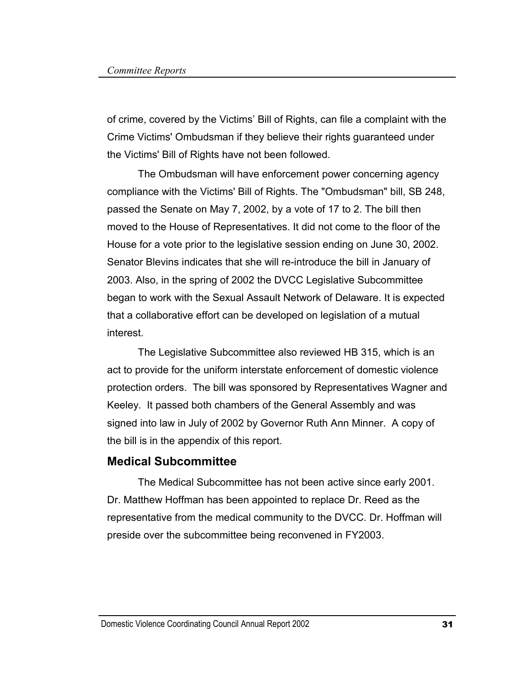of crime, covered by the Victims' Bill of Rights, can file a complaint with the Crime Victims' Ombudsman if they believe their rights guaranteed under the Victims' Bill of Rights have not been followed.

 The Ombudsman will have enforcement power concerning agency compliance with the Victims' Bill of Rights. The "Ombudsman" bill, SB 248, passed the Senate on May 7, 2002, by a vote of 17 to 2. The bill then moved to the House of Representatives. It did not come to the floor of the House for a vote prior to the legislative session ending on June 30, 2002. Senator Blevins indicates that she will re-introduce the bill in January of 2003. Also, in the spring of 2002 the DVCC Legislative Subcommittee began to work with the Sexual Assault Network of Delaware. It is expected that a collaborative effort can be developed on legislation of a mutual interest.

 The Legislative Subcommittee also reviewed HB 315, which is an act to provide for the uniform interstate enforcement of domestic violence protection orders. The bill was sponsored by Representatives Wagner and Keeley. It passed both chambers of the General Assembly and was signed into law in July of 2002 by Governor Ruth Ann Minner. A copy of the bill is in the appendix of this report.

#### **Medical Subcommittee**

The Medical Subcommittee has not been active since early 2001. Dr. Matthew Hoffman has been appointed to replace Dr. Reed as the representative from the medical community to the DVCC. Dr. Hoffman will preside over the subcommittee being reconvened in FY2003.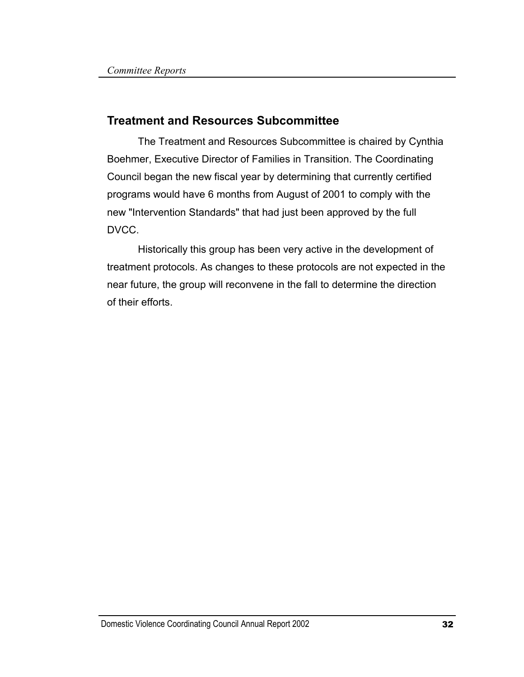#### **Treatment and Resources Subcommittee**

 The Treatment and Resources Subcommittee is chaired by Cynthia Boehmer, Executive Director of Families in Transition. The Coordinating Council began the new fiscal year by determining that currently certified programs would have 6 months from August of 2001 to comply with the new "Intervention Standards" that had just been approved by the full DVCC.

 Historically this group has been very active in the development of treatment protocols. As changes to these protocols are not expected in the near future, the group will reconvene in the fall to determine the direction of their efforts.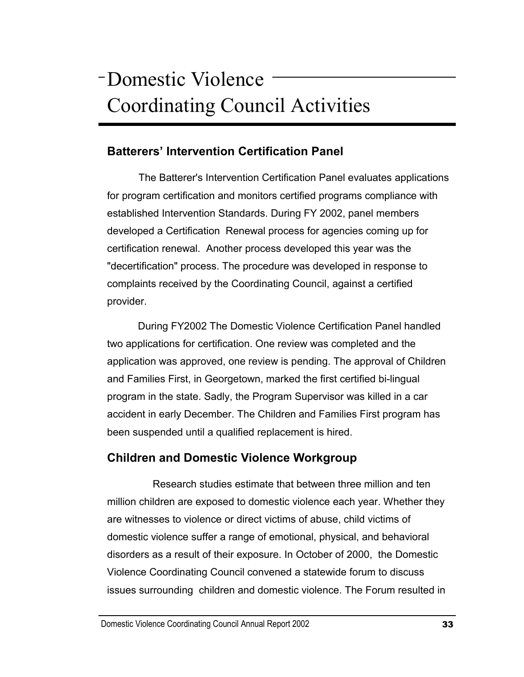## Domestic Violence Coordinating Council Activities

## **Batterers' Intervention Certification Panel**

 The Batterer's Intervention Certification Panel evaluates applications for program certification and monitors certified programs compliance with established Intervention Standards. During FY 2002, panel members developed a Certification Renewal process for agencies coming up for certification renewal. Another process developed this year was the "decertification" process. The procedure was developed in response to complaints received by the Coordinating Council, against a certified provider.

 During FY2002 The Domestic Violence Certification Panel handled two applications for certification. One review was completed and the application was approved, one review is pending. The approval of Children and Families First, in Georgetown, marked the first certified bi-lingual program in the state. Sadly, the Program Supervisor was killed in a car accident in early December. The Children and Families First program has been suspended until a qualified replacement is hired.

#### **Children and Domestic Violence Workgroup**

 Research studies estimate that between three million and ten million children are exposed to domestic violence each year. Whether they are witnesses to violence or direct victims of abuse, child victims of domestic violence suffer a range of emotional, physical, and behavioral disorders as a result of their exposure. In October of 2000, the Domestic Violence Coordinating Council convened a statewide forum to discuss issues surrounding children and domestic violence. The Forum resulted in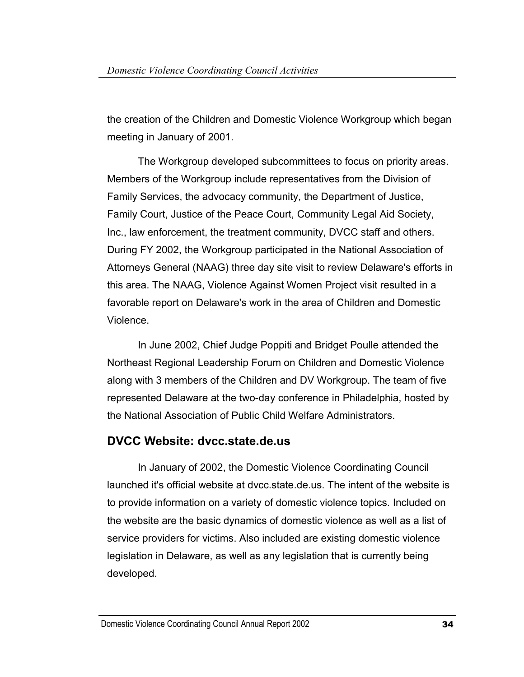the creation of the Children and Domestic Violence Workgroup which began meeting in January of 2001.

 The Workgroup developed subcommittees to focus on priority areas. Members of the Workgroup include representatives from the Division of Family Services, the advocacy community, the Department of Justice, Family Court, Justice of the Peace Court, Community Legal Aid Society, Inc., law enforcement, the treatment community, DVCC staff and others. During FY 2002, the Workgroup participated in the National Association of Attorneys General (NAAG) three day site visit to review Delaware's efforts in this area. The NAAG, Violence Against Women Project visit resulted in a favorable report on Delaware's work in the area of Children and Domestic Violence.

 In June 2002, Chief Judge Poppiti and Bridget Poulle attended the Northeast Regional Leadership Forum on Children and Domestic Violence along with 3 members of the Children and DV Workgroup. The team of five represented Delaware at the two-day conference in Philadelphia, hosted by the National Association of Public Child Welfare Administrators.

#### **DVCC Website: dvcc.state.de.us**

 In January of 2002, the Domestic Violence Coordinating Council launched it's official website at dvcc.state.de.us. The intent of the website is to provide information on a variety of domestic violence topics. Included on the website are the basic dynamics of domestic violence as well as a list of service providers for victims. Also included are existing domestic violence legislation in Delaware, as well as any legislation that is currently being developed.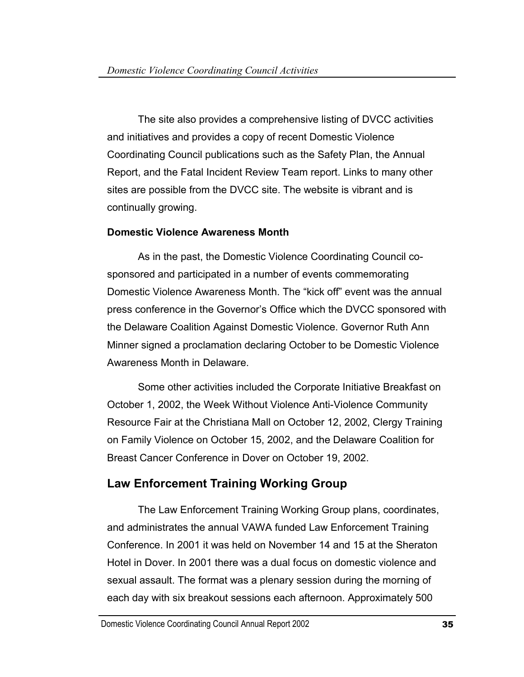The site also provides a comprehensive listing of DVCC activities and initiatives and provides a copy of recent Domestic Violence Coordinating Council publications such as the Safety Plan, the Annual Report, and the Fatal Incident Review Team report. Links to many other sites are possible from the DVCC site. The website is vibrant and is continually growing.

#### **Domestic Violence Awareness Month**

As in the past, the Domestic Violence Coordinating Council cosponsored and participated in a number of events commemorating Domestic Violence Awareness Month. The "kick off" event was the annual press conference in the Governor's Office which the DVCC sponsored with the Delaware Coalition Against Domestic Violence. Governor Ruth Ann Minner signed a proclamation declaring October to be Domestic Violence Awareness Month in Delaware.

 Some other activities included the Corporate Initiative Breakfast on October 1, 2002, the Week Without Violence Anti-Violence Community Resource Fair at the Christiana Mall on October 12, 2002, Clergy Training on Family Violence on October 15, 2002, and the Delaware Coalition for Breast Cancer Conference in Dover on October 19, 2002.

#### **Law Enforcement Training Working Group**

 The Law Enforcement Training Working Group plans, coordinates, and administrates the annual VAWA funded Law Enforcement Training Conference. In 2001 it was held on November 14 and 15 at the Sheraton Hotel in Dover. In 2001 there was a dual focus on domestic violence and sexual assault. The format was a plenary session during the morning of each day with six breakout sessions each afternoon. Approximately 500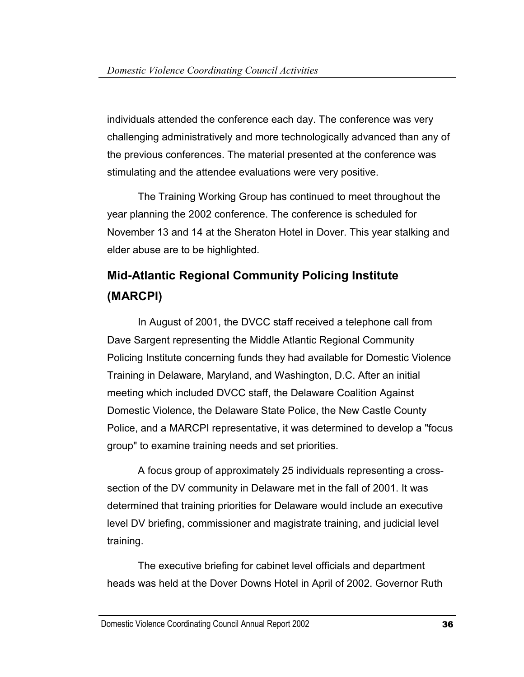individuals attended the conference each day. The conference was very challenging administratively and more technologically advanced than any of the previous conferences. The material presented at the conference was stimulating and the attendee evaluations were very positive.

 The Training Working Group has continued to meet throughout the year planning the 2002 conference. The conference is scheduled for November 13 and 14 at the Sheraton Hotel in Dover. This year stalking and elder abuse are to be highlighted.

## **Mid-Atlantic Regional Community Policing Institute (MARCPI)**

 In August of 2001, the DVCC staff received a telephone call from Dave Sargent representing the Middle Atlantic Regional Community Policing Institute concerning funds they had available for Domestic Violence Training in Delaware, Maryland, and Washington, D.C. After an initial meeting which included DVCC staff, the Delaware Coalition Against Domestic Violence, the Delaware State Police, the New Castle County Police, and a MARCPI representative, it was determined to develop a "focus group" to examine training needs and set priorities.

 A focus group of approximately 25 individuals representing a crosssection of the DV community in Delaware met in the fall of 2001. It was determined that training priorities for Delaware would include an executive level DV briefing, commissioner and magistrate training, and judicial level training.

 The executive briefing for cabinet level officials and department heads was held at the Dover Downs Hotel in April of 2002. Governor Ruth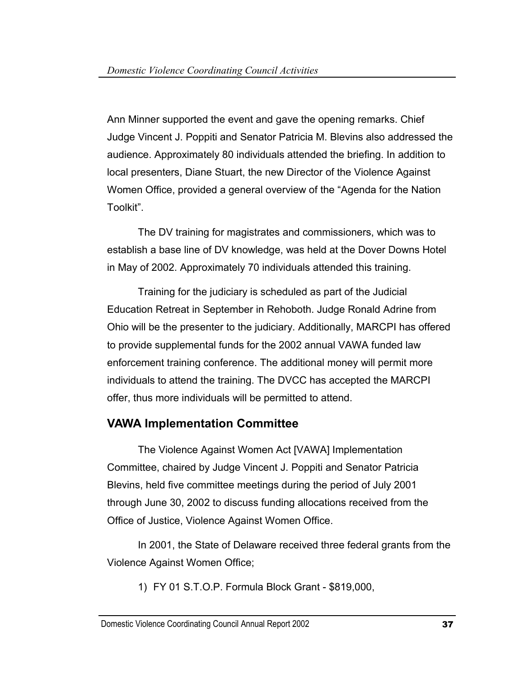Ann Minner supported the event and gave the opening remarks. Chief Judge Vincent J. Poppiti and Senator Patricia M. Blevins also addressed the audience. Approximately 80 individuals attended the briefing. In addition to local presenters, Diane Stuart, the new Director of the Violence Against Women Office, provided a general overview of the "Agenda for the Nation Toolkit".

 The DV training for magistrates and commissioners, which was to establish a base line of DV knowledge, was held at the Dover Downs Hotel in May of 2002. Approximately 70 individuals attended this training.

 Training for the judiciary is scheduled as part of the Judicial Education Retreat in September in Rehoboth. Judge Ronald Adrine from Ohio will be the presenter to the judiciary. Additionally, MARCPI has offered to provide supplemental funds for the 2002 annual VAWA funded law enforcement training conference. The additional money will permit more individuals to attend the training. The DVCC has accepted the MARCPI offer, thus more individuals will be permitted to attend.

#### **VAWA Implementation Committee**

 The Violence Against Women Act [VAWA] Implementation Committee, chaired by Judge Vincent J. Poppiti and Senator Patricia Blevins, held five committee meetings during the period of July 2001 through June 30, 2002 to discuss funding allocations received from the Office of Justice, Violence Against Women Office.

 In 2001, the State of Delaware received three federal grants from the Violence Against Women Office;

1) FY 01 S.T.O.P. Formula Block Grant - \$819,000,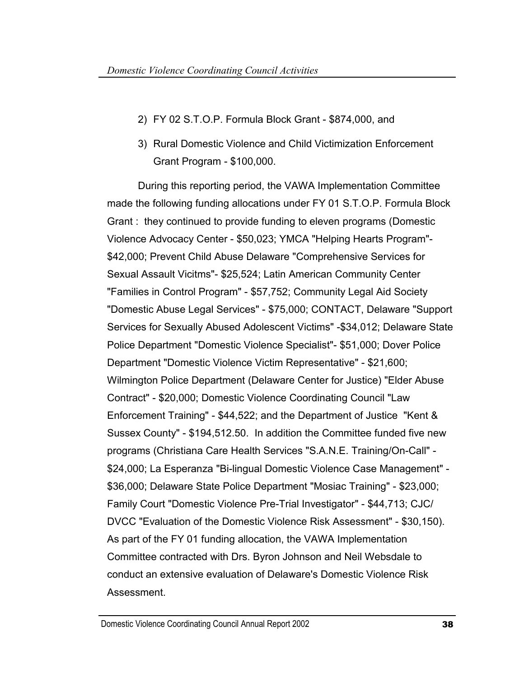- 2) FY 02 S.T.O.P. Formula Block Grant \$874,000, and
- 3) Rural Domestic Violence and Child Victimization Enforcement Grant Program - \$100,000.

 During this reporting period, the VAWA Implementation Committee made the following funding allocations under FY 01 S.T.O.P. Formula Block Grant : they continued to provide funding to eleven programs (Domestic Violence Advocacy Center - \$50,023; YMCA "Helping Hearts Program"- \$42,000; Prevent Child Abuse Delaware "Comprehensive Services for Sexual Assault Vicitms"- \$25,524; Latin American Community Center "Families in Control Program" - \$57,752; Community Legal Aid Society "Domestic Abuse Legal Services" - \$75,000; CONTACT, Delaware "Support Services for Sexually Abused Adolescent Victims" -\$34,012; Delaware State Police Department "Domestic Violence Specialist"- \$51,000; Dover Police Department "Domestic Violence Victim Representative" - \$21,600; Wilmington Police Department (Delaware Center for Justice) "Elder Abuse Contract" - \$20,000; Domestic Violence Coordinating Council "Law Enforcement Training" - \$44,522; and the Department of Justice "Kent & Sussex County" - \$194,512.50. In addition the Committee funded five new programs (Christiana Care Health Services "S.A.N.E. Training/On-Call" - \$24,000; La Esperanza "Bi-lingual Domestic Violence Case Management" - \$36,000; Delaware State Police Department "Mosiac Training" - \$23,000; Family Court "Domestic Violence Pre-Trial Investigator" - \$44,713; CJC/ DVCC "Evaluation of the Domestic Violence Risk Assessment" - \$30,150). As part of the FY 01 funding allocation, the VAWA Implementation Committee contracted with Drs. Byron Johnson and Neil Websdale to conduct an extensive evaluation of Delaware's Domestic Violence Risk Assessment.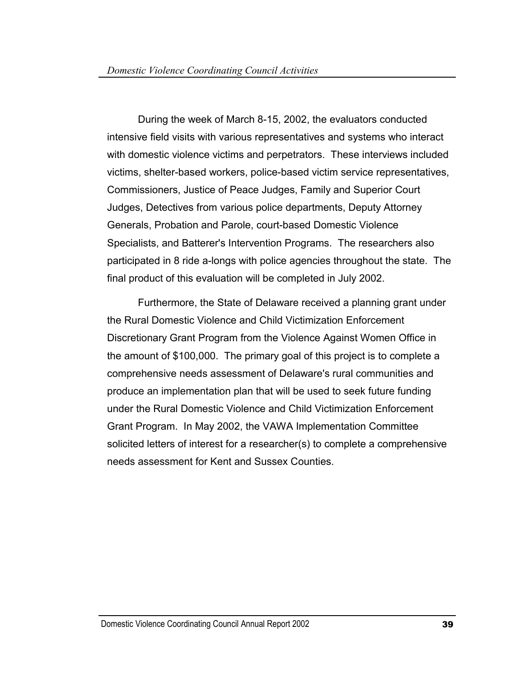During the week of March 8-15, 2002, the evaluators conducted intensive field visits with various representatives and systems who interact with domestic violence victims and perpetrators. These interviews included victims, shelter-based workers, police-based victim service representatives, Commissioners, Justice of Peace Judges, Family and Superior Court Judges, Detectives from various police departments, Deputy Attorney Generals, Probation and Parole, court-based Domestic Violence Specialists, and Batterer's Intervention Programs. The researchers also participated in 8 ride a-longs with police agencies throughout the state. The final product of this evaluation will be completed in July 2002.

 Furthermore, the State of Delaware received a planning grant under the Rural Domestic Violence and Child Victimization Enforcement Discretionary Grant Program from the Violence Against Women Office in the amount of \$100,000. The primary goal of this project is to complete a comprehensive needs assessment of Delaware's rural communities and produce an implementation plan that will be used to seek future funding under the Rural Domestic Violence and Child Victimization Enforcement Grant Program. In May 2002, the VAWA Implementation Committee solicited letters of interest for a researcher(s) to complete a comprehensive needs assessment for Kent and Sussex Counties.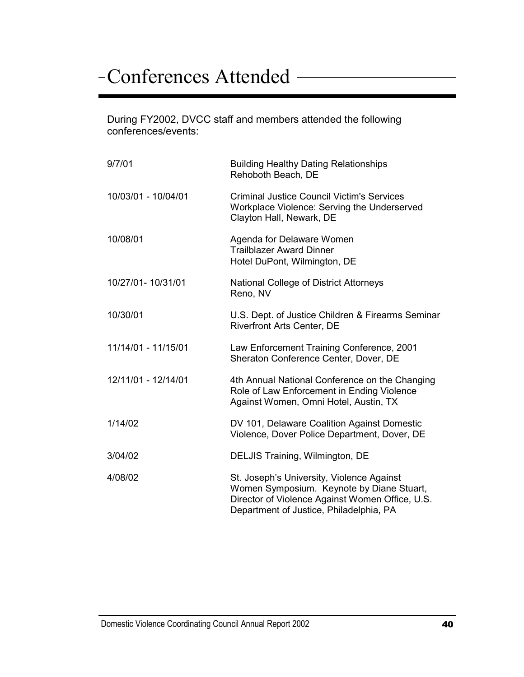## -Conferences Attended -

During FY2002, DVCC staff and members attended the following conferences/events:

| 9/7/01              | <b>Building Healthy Dating Relationships</b><br>Rehoboth Beach, DE                                                                                                                   |
|---------------------|--------------------------------------------------------------------------------------------------------------------------------------------------------------------------------------|
| 10/03/01 - 10/04/01 | <b>Criminal Justice Council Victim's Services</b><br>Workplace Violence: Serving the Underserved<br>Clayton Hall, Newark, DE                                                         |
| 10/08/01            | Agenda for Delaware Women<br><b>Trailblazer Award Dinner</b><br>Hotel DuPont, Wilmington, DE                                                                                         |
| 10/27/01-10/31/01   | <b>National College of District Attorneys</b><br>Reno, NV                                                                                                                            |
| 10/30/01            | U.S. Dept. of Justice Children & Firearms Seminar<br><b>Riverfront Arts Center, DE</b>                                                                                               |
| 11/14/01 - 11/15/01 | Law Enforcement Training Conference, 2001<br>Sheraton Conference Center, Dover, DE                                                                                                   |
| 12/11/01 - 12/14/01 | 4th Annual National Conference on the Changing<br>Role of Law Enforcement in Ending Violence<br>Against Women, Omni Hotel, Austin, TX                                                |
| 1/14/02             | DV 101, Delaware Coalition Against Domestic<br>Violence, Dover Police Department, Dover, DE                                                                                          |
| 3/04/02             | DELJIS Training, Wilmington, DE                                                                                                                                                      |
| 4/08/02             | St. Joseph's University, Violence Against<br>Women Symposium. Keynote by Diane Stuart,<br>Director of Violence Against Women Office, U.S.<br>Department of Justice, Philadelphia, PA |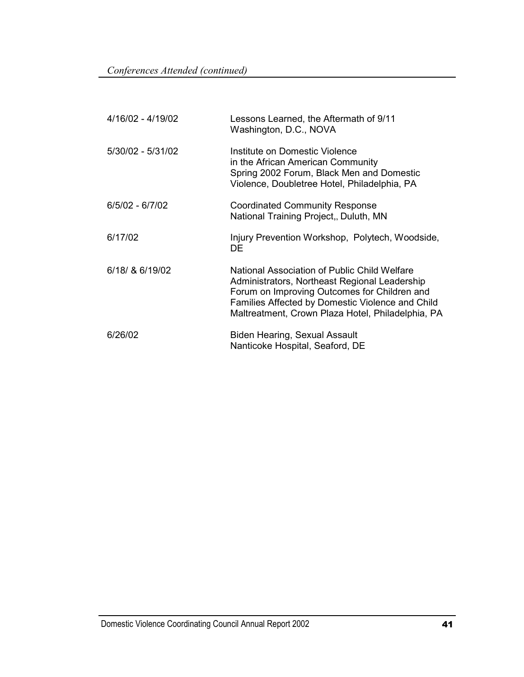| 4/16/02 - 4/19/02 | Lessons Learned, the Aftermath of 9/11<br>Washington, D.C., NOVA                                                                                                                                                                                       |
|-------------------|--------------------------------------------------------------------------------------------------------------------------------------------------------------------------------------------------------------------------------------------------------|
| 5/30/02 - 5/31/02 | Institute on Domestic Violence<br>in the African American Community<br>Spring 2002 Forum, Black Men and Domestic<br>Violence, Doubletree Hotel, Philadelphia, PA                                                                                       |
| $6/5/02 - 6/7/02$ | <b>Coordinated Community Response</b><br>National Training Project, Duluth, MN                                                                                                                                                                         |
| 6/17/02           | Injury Prevention Workshop, Polytech, Woodside,<br>DE.                                                                                                                                                                                                 |
| 6/18/ & 6/19/02   | National Association of Public Child Welfare<br>Administrators, Northeast Regional Leadership<br>Forum on Improving Outcomes for Children and<br>Families Affected by Domestic Violence and Child<br>Maltreatment, Crown Plaza Hotel, Philadelphia, PA |
| 6/26/02           | Biden Hearing, Sexual Assault<br>Nanticoke Hospital, Seaford, DE                                                                                                                                                                                       |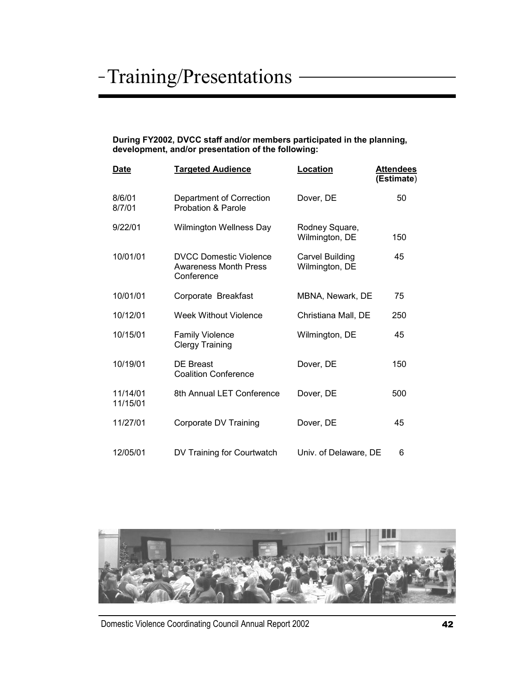**During FY2002, DVCC staff and/or members participated in the planning, development, and/or presentation of the following:** 

| <b>Date</b>          | <b>Targeted Audience</b>                                                    | Location                          | <b>Attendees</b><br>(Estimate) |
|----------------------|-----------------------------------------------------------------------------|-----------------------------------|--------------------------------|
| 8/6/01<br>8/7/01     | Department of Correction<br><b>Probation &amp; Parole</b>                   | Dover, DE                         | 50                             |
| 9/22/01              | <b>Wilmington Wellness Day</b>                                              | Rodney Square,<br>Wilmington, DE  | 150                            |
| 10/01/01             | <b>DVCC Domestic Violence</b><br><b>Awareness Month Press</b><br>Conference | Carvel Building<br>Wilmington, DE | 45                             |
| 10/01/01             | Corporate Breakfast                                                         | MBNA, Newark, DE                  | 75                             |
| 10/12/01             | Week Without Violence                                                       | Christiana Mall, DE               | 250                            |
| 10/15/01             | <b>Family Violence</b><br><b>Clergy Training</b>                            | Wilmington, DE                    | 45                             |
| 10/19/01             | <b>DE Breast</b><br><b>Coalition Conference</b>                             | Dover, DE                         | 150                            |
| 11/14/01<br>11/15/01 | 8th Annual LET Conference                                                   | Dover, DE                         | 500                            |
| 11/27/01             | Corporate DV Training                                                       | Dover, DE                         | 45                             |
| 12/05/01             | DV Training for Courtwatch                                                  | Univ. of Delaware, DE             | 6                              |



Domestic Violence Coordinating Council Annual Report 2002 42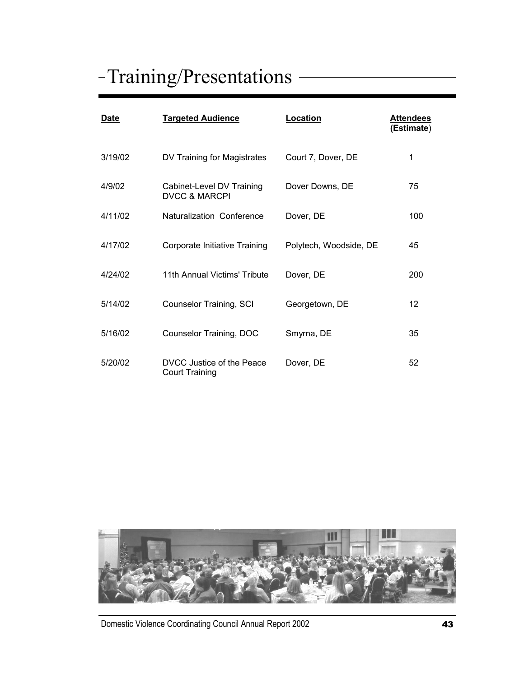# - Training/Presentations -

| <b>Date</b> | <b>Targeted Audience</b>                              | Location               | <b>Attendees</b><br>(Estimate) |
|-------------|-------------------------------------------------------|------------------------|--------------------------------|
| 3/19/02     | DV Training for Magistrates                           | Court 7, Dover, DE     | 1                              |
| 4/9/02      | Cabinet-Level DV Training<br><b>DVCC &amp; MARCPI</b> | Dover Downs, DE        | 75                             |
| 4/11/02     | Naturalization Conference                             | Dover, DE              | 100                            |
| 4/17/02     | Corporate Initiative Training                         | Polytech, Woodside, DE | 45                             |
| 4/24/02     | 11th Annual Victims' Tribute                          | Dover, DE              | 200                            |
| 5/14/02     | Counselor Training, SCI                               | Georgetown, DE         | 12                             |
| 5/16/02     | Counselor Training, DOC                               | Smyrna, DE             | 35                             |
| 5/20/02     | DVCC Justice of the Peace<br><b>Court Training</b>    | Dover, DE              | 52                             |



Domestic Violence Coordinating Council Annual Report 2002 43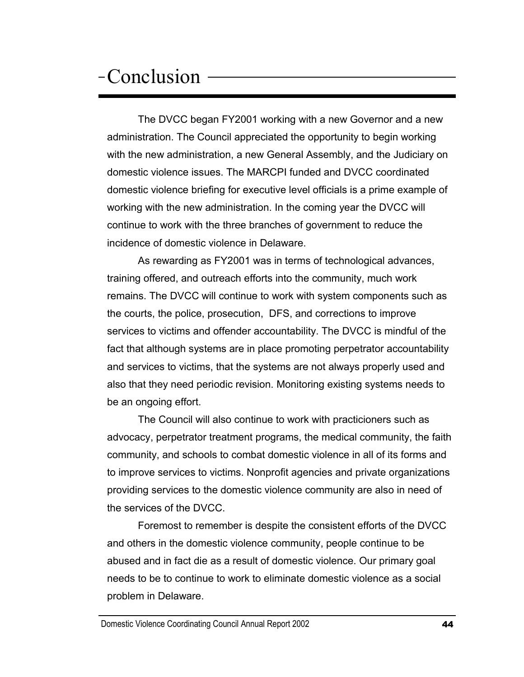## Conclusion

 The DVCC began FY2001 working with a new Governor and a new administration. The Council appreciated the opportunity to begin working with the new administration, a new General Assembly, and the Judiciary on domestic violence issues. The MARCPI funded and DVCC coordinated domestic violence briefing for executive level officials is a prime example of working with the new administration. In the coming year the DVCC will continue to work with the three branches of government to reduce the incidence of domestic violence in Delaware.

 As rewarding as FY2001 was in terms of technological advances, training offered, and outreach efforts into the community, much work remains. The DVCC will continue to work with system components such as the courts, the police, prosecution, DFS, and corrections to improve services to victims and offender accountability. The DVCC is mindful of the fact that although systems are in place promoting perpetrator accountability and services to victims, that the systems are not always properly used and also that they need periodic revision. Monitoring existing systems needs to be an ongoing effort.

 The Council will also continue to work with practicioners such as advocacy, perpetrator treatment programs, the medical community, the faith community, and schools to combat domestic violence in all of its forms and to improve services to victims. Nonprofit agencies and private organizations providing services to the domestic violence community are also in need of the services of the DVCC.

 Foremost to remember is despite the consistent efforts of the DVCC and others in the domestic violence community, people continue to be abused and in fact die as a result of domestic violence. Our primary goal needs to be to continue to work to eliminate domestic violence as a social problem in Delaware.